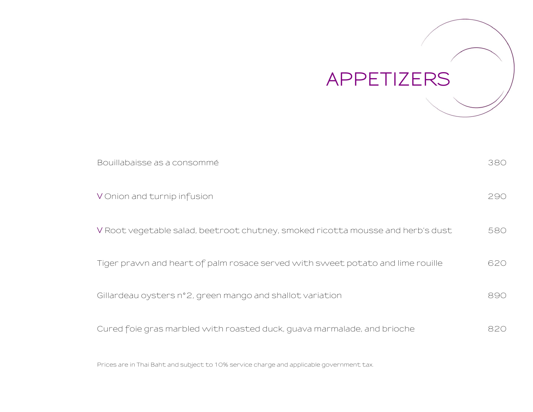

| Bouillabaisse as a consommé                                                     | 380 |
|---------------------------------------------------------------------------------|-----|
| V Onion and turnip infusion                                                     | 290 |
| V Root vegetable salad, beetroot chutney, smoked ricotta mousse and herb's dust | 580 |
| Tiger prawn and heart of palm rosace served with sweet potato and lime rouille  | 620 |
| Gillardeau oysters n°2, green mango and shallot variation                       | 890 |
| Cured foie gras marbled with roasted duck, guava marmalade, and brioche         | 820 |

Prices are in Thai Baht and subject to 10% service charge and applicable government tax.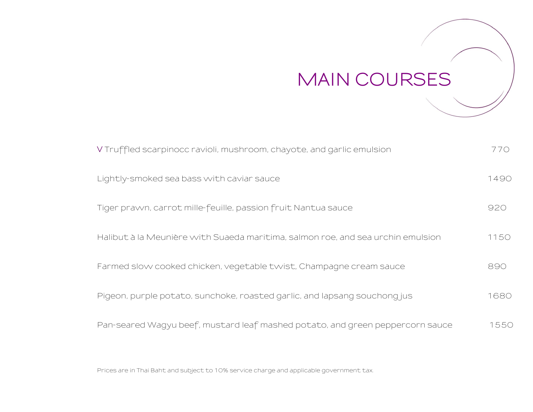## **MAIN COURSES**

| V Truffled scarpinocc ravioli, mushroom, chayote, and garlic emulsion           | 770  |
|---------------------------------------------------------------------------------|------|
| Lightly-smoked sea bass with caviar sauce                                       | 1490 |
| Tiger prawn, carrot mille-feuille, passion fruit Nantua sauce                   | 920  |
| Halibut à la Meunière with Suaeda maritima, salmon roe, and sea urchin emulsion | 1150 |
| Farmed slow cooked chicken, vegetable twist, Champagne cream sauce              | 890  |
| Pigeon, purple potato, sunchoke, roasted garlic, and lapsang souchong jus       | 1680 |
| Pan-seared Wagyu beef, mustard leaf mashed potato, and green peppercorn sauce   | 1550 |

Prices are in Thai Baht and subject to 10% service charge and applicable government tax.